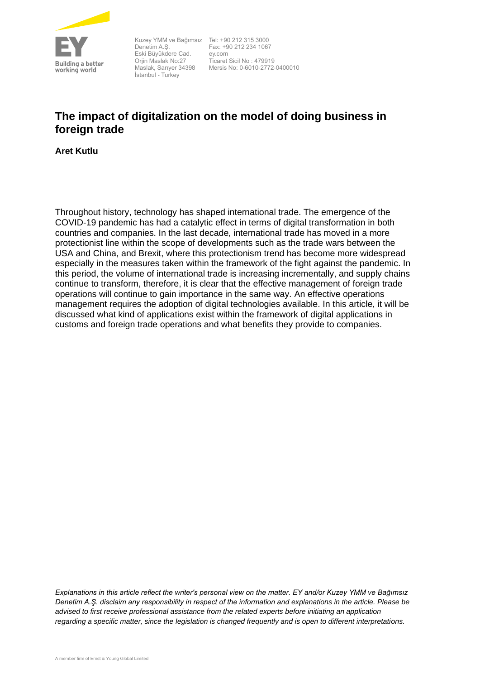

Kuzey YMM ve Bağımsız Tel: +90 212 315 3000 Denetim A.Ş. Eski Büyükdere Cad. Orjin Maslak No:27 Maslak, Sarıyer 34398 İstanbul - Turkey

Fax: +90 212 234 1067 ey.com Ticaret Sicil No : 479919 Mersis No: 0-6010-2772-0400010

## **The impact of digitalization on the model of doing business in foreign trade**

**Aret Kutlu**

Throughout history, technology has shaped international trade. The emergence of the COVID-19 pandemic has had a catalytic effect in terms of digital transformation in both countries and companies. In the last decade, international trade has moved in a more protectionist line within the scope of developments such as the trade wars between the USA and China, and Brexit, where this protectionism trend has become more widespread especially in the measures taken within the framework of the fight against the pandemic. In this period, the volume of international trade is increasing incrementally, and supply chains continue to transform, therefore, it is clear that the effective management of foreign trade operations will continue to gain importance in the same way. An effective operations management requires the adoption of digital technologies available. In this article, it will be discussed what kind of applications exist within the framework of digital applications in customs and foreign trade operations and what benefits they provide to companies.

*Explanations in this article reflect the writer's personal view on the matter. EY and/or Kuzey YMM ve Bağımsız Denetim A.Ş. disclaim any responsibility in respect of the information and explanations in the article. Please be advised to first receive professional assistance from the related experts before initiating an application regarding a specific matter, since the legislation is changed frequently and is open to different interpretations.*